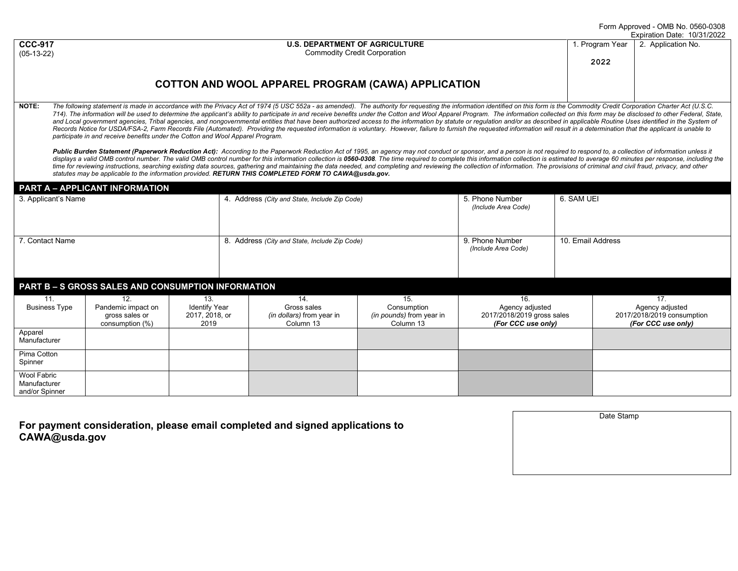Form Approved - OMB No. 0560-0308 2022

|  | <b>U.S. DEPARTMENT OF AGRICULTURE</b> |
|--|---------------------------------------|
|  | <b>Commodity Credit Corporation</b>   |

|      | Expiration Date: 10/31/              |
|------|--------------------------------------|
|      | 1. Program Year   2. Application No. |
| 2022 |                                      |
|      |                                      |

## **COTTON AND WOOL APPAREL PROGRAM (CAWA) APPLICATION**

NOTE: The following statement is made in accordance with the Privacy Act of 1974 (5 USC 552a - as amended). The authority for requesting the information identified on this form is the Commodity Credit Corporation Charter A 714). The information will be used to determine the applicant's ability to participate in and receive benefits under the Cotton and Wool Apparel Program. The information collected on this form may be disclosed to other Fed and Local government agencies, Tribal agencies, and nongovernmental entities that have been authorized access to the information by statute or regulation and/or as described in applicable Routine Uses identified in the Sys Records Notice for USDA/FSA-2, Farm Records File (Automated). Providing the requested information is voluntary. However, failure to furnish the requested information will result in a determination that the applicant is una *participate in and receive benefits under the Cotton and Wool Apparel Program.* 

Public Burden Statement (Paperwork Reduction Act): According to the Paperwork Reduction Act of 1995, an agency may not conduct or sponsor, and a person is not required to respond to, a collection of information unless it displays a valid OMB control number. The valid OMB control number for this information collection is 0560-0308. The time required to complete this information collection is estimated to average 60 minutes per response, inc time for reviewing instructions, searching existing data sources, gathering and maintaining the data needed, and completing and reviewing the collection of information. The provisions of criminal and civil fraud, privacy, *statutes may be applicable to the information provided. RETURN THIS COMPLETED FORM TO CAWA@usda.gov.*

|                                                    | <b>PART A - APPLICANT INFORMATION</b>                          |                                                       |                                               |                                                                     |                                                                    |                                                                            |                   |                                                                            |
|----------------------------------------------------|----------------------------------------------------------------|-------------------------------------------------------|-----------------------------------------------|---------------------------------------------------------------------|--------------------------------------------------------------------|----------------------------------------------------------------------------|-------------------|----------------------------------------------------------------------------|
| 3. Applicant's Name                                |                                                                |                                                       | 4. Address (City and State, Include Zip Code) |                                                                     | 5. Phone Number<br>(Include Area Code)                             | 6. SAM UEI                                                                 |                   |                                                                            |
| 7. Contact Name                                    |                                                                |                                                       |                                               | 8. Address (City and State, Include Zip Code)                       |                                                                    | 9. Phone Number<br>(Include Area Code)                                     | 10. Email Address |                                                                            |
| PART B - S GROSS SALES AND CONSUMPTION INFORMATION |                                                                |                                                       |                                               |                                                                     |                                                                    |                                                                            |                   |                                                                            |
| 11.<br><b>Business Type</b>                        | 12.<br>Pandemic impact on<br>gross sales or<br>consumption (%) | 13.<br><b>Identify Year</b><br>2017, 2018, or<br>2019 |                                               | 14.<br>Gross sales<br><i>(in dollars)</i> from year in<br>Column 13 | 15.<br>Consumption<br><i>(in pounds)</i> from year in<br>Column 13 | 16.<br>Agency adjusted<br>2017/2018/2019 gross sales<br>(For CCC use only) |                   | 17.<br>Agency adjusted<br>2017/2018/2019 consumption<br>(For CCC use only) |
| Apparel<br>Manufacturer                            |                                                                |                                                       |                                               |                                                                     |                                                                    |                                                                            |                   |                                                                            |
| Pima Cotton<br>Spinner                             |                                                                |                                                       |                                               |                                                                     |                                                                    |                                                                            |                   |                                                                            |
| Wool Fabric<br>Manufacturer<br>and/or Spinner      |                                                                |                                                       |                                               |                                                                     |                                                                    |                                                                            |                   |                                                                            |

**For payment consideration, please email completed and signed applications to CAWA@usda.gov** 

**CCC-917** (05-13-22)

| Date Stamp |
|------------|
|            |
|            |
|            |
|            |